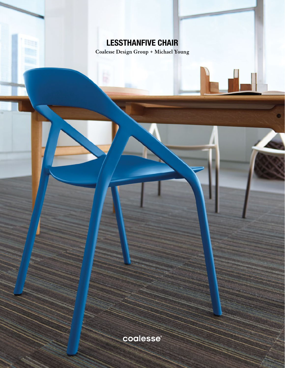# LESSTHANFIVE CHAIR

**Coalesse Design Group + Michael Young**

coalesse®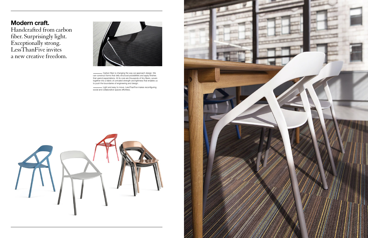# Modern craft.

Handcrafted from carbon fiber. Surprisingly light. Exceptionally strong. LessThanFive invites a new creative freedom.



Carbon fiber is changing the way we approach design. We can construct forms that defy structural possibilities and apply finishes that upend expectations. At its core are thousands of tiny fibers, woven together into a fabric of unrivaled strength and lightness that enables us to push the boundaries of engineering and design.

Light and easy to move, LessThanFive makes reconfiguring social and collaborative spaces effortless.